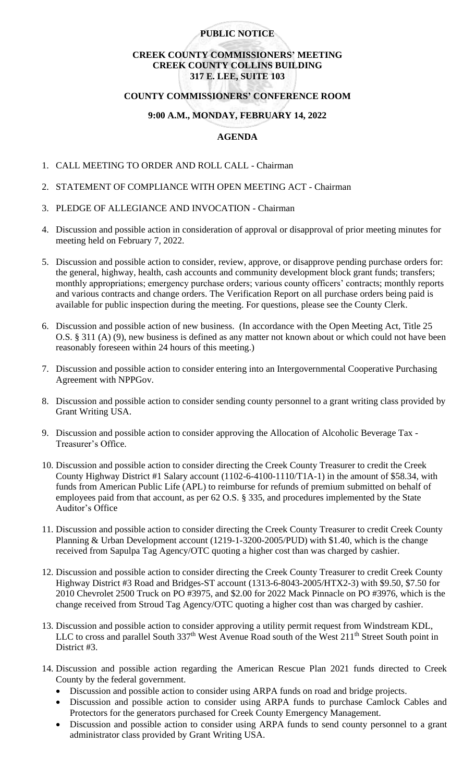## **PUBLIC NOTICE**

## **CREEK COUNTY COMMISSIONERS' MEETING CREEK COUNTY COLLINS BUILDING 317 E. LEE, SUITE 103**

#### **COUNTY COMMISSIONERS' CONFERENCE ROOM**

## **9:00 A.M., MONDAY, FEBRUARY 14, 2022**

# **AGENDA**

- 1. CALL MEETING TO ORDER AND ROLL CALL Chairman
- 2. STATEMENT OF COMPLIANCE WITH OPEN MEETING ACT Chairman
- 3. PLEDGE OF ALLEGIANCE AND INVOCATION Chairman
- 4. Discussion and possible action in consideration of approval or disapproval of prior meeting minutes for meeting held on February 7, 2022.
- 5. Discussion and possible action to consider, review, approve, or disapprove pending purchase orders for: the general, highway, health, cash accounts and community development block grant funds; transfers; monthly appropriations; emergency purchase orders; various county officers' contracts; monthly reports and various contracts and change orders. The Verification Report on all purchase orders being paid is available for public inspection during the meeting. For questions, please see the County Clerk.
- 6. Discussion and possible action of new business. (In accordance with the Open Meeting Act, Title 25 O.S. § 311 (A) (9), new business is defined as any matter not known about or which could not have been reasonably foreseen within 24 hours of this meeting.)
- 7. Discussion and possible action to consider entering into an Intergovernmental Cooperative Purchasing Agreement with NPPGov.
- 8. Discussion and possible action to consider sending county personnel to a grant writing class provided by Grant Writing USA.
- 9. Discussion and possible action to consider approving the Allocation of Alcoholic Beverage Tax Treasurer's Office.
- 10. Discussion and possible action to consider directing the Creek County Treasurer to credit the Creek County Highway District #1 Salary account (1102-6-4100-1110/T1A-1) in the amount of \$58.34, with funds from American Public Life (APL) to reimburse for refunds of premium submitted on behalf of employees paid from that account, as per 62 O.S. § 335, and procedures implemented by the State Auditor's Office
- 11. Discussion and possible action to consider directing the Creek County Treasurer to credit Creek County Planning & Urban Development account (1219-1-3200-2005/PUD) with \$1.40, which is the change received from Sapulpa Tag Agency/OTC quoting a higher cost than was charged by cashier.
- 12. Discussion and possible action to consider directing the Creek County Treasurer to credit Creek County Highway District #3 Road and Bridges-ST account (1313-6-8043-2005/HTX2-3) with \$9.50, \$7.50 for 2010 Chevrolet 2500 Truck on PO #3975, and \$2.00 for 2022 Mack Pinnacle on PO #3976, which is the change received from Stroud Tag Agency/OTC quoting a higher cost than was charged by cashier.
- 13. Discussion and possible action to consider approving a utility permit request from Windstream KDL, LLC to cross and parallel South 337<sup>th</sup> West Avenue Road south of the West 211<sup>th</sup> Street South point in District #3.
- 14. Discussion and possible action regarding the American Rescue Plan 2021 funds directed to Creek County by the federal government.
	- Discussion and possible action to consider using ARPA funds on road and bridge projects.
	- Discussion and possible action to consider using ARPA funds to purchase Camlock Cables and Protectors for the generators purchased for Creek County Emergency Management.
	- Discussion and possible action to consider using ARPA funds to send county personnel to a grant administrator class provided by Grant Writing USA.